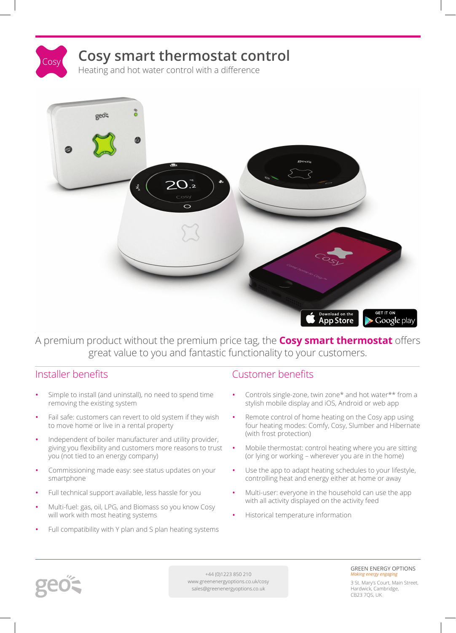



#### A premium product without the premium price tag, the **Cosy smart thermostat** offers great value to you and fantastic functionality to your customers.

- **•** Simple to install (and uninstall), no need to spend time removing the existing system
- **•** Fail safe: customers can revert to old system if they wish to move home or live in a rental property
- **•** Independent of boiler manufacturer and utility provider, giving you flexibility and customers more reasons to trust you (not tied to an energy company)
- **•** Commissioning made easy: see status updates on your smartphone
- **•** Full technical support available, less hassle for you
- **•** Multi-fuel: gas, oil, LPG, and Biomass so you know Cosy will work with most heating systems
- **•** Full compatibility with Y plan and S plan heating systems

#### Installer benefits Customer benefits

- **•** Controls single-zone, twin zone\* and hot water\*\* from a stylish mobile display and iOS, Android or web app
- **•** Remote control of home heating on the Cosy app using four heating modes: Comfy, Cosy, Slumber and Hibernate (with frost protection)
- **•** Mobile thermostat: control heating where you are sitting (or lying or working – wherever you are in the home)
- **•** Use the app to adapt heating schedules to your lifestyle, controlling heat and energy either at home or away
- **•** Multi-user: everyone in the household can use the app with all activity displayed on the activity feed
- **•** Historical temperature information



+44 (0)1223 850 210 www.greenenergyoptions.co.uk/cosy sales@greenenergyoptions.co.uk

#### GREEN ENERGY OPTIONS *Making energy enga*

3 St. Mary's Court, Main Street, Hardwick, Cambridge, CB23 7QS, UK